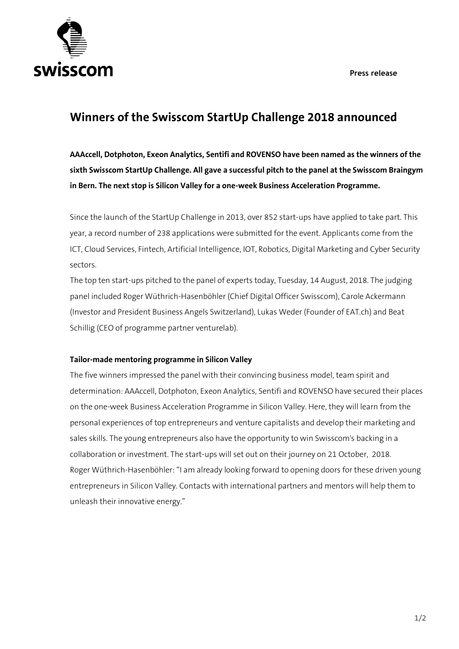**Press release**



## **Winners of the Swisscom StartUp Challenge 2018 announced**

**AAAccell, Dotphoton, Exeon Analytics, Sentifi and ROVENSO have been named as the winners of the sixth Swisscom StartUp Challenge. All gave a successful pitch to the panel at the Swisscom Braingym in Bern. The next stop is Silicon Valley for a one-week Business Acceleration Programme.**

Since the launch of the StartUp Challenge in 2013, over 852 start-ups have applied to take part. This year, a record number of 238 applications were submitted for the event. Applicants come from the ICT, Cloud Services, Fintech, Artificial Intelligence, IOT, Robotics, Digital Marketing and Cyber Security sectors.

The top ten start-ups pitched to the panel of experts today, Tuesday, 14 August, 2018. The judging panel included Roger Wüthrich-Hasenböhler (Chief Digital Officer Swisscom), Carole Ackermann (Investor and President Business Angels Switzerland), Lukas Weder (Founder of EAT.ch) and Beat Schillig (CEO of programme partner venturelab).

## **Tailor-made mentoring programme in Silicon Valley**

The five winners impressed the panel with their convincing business model, team spirit and determination: AAAccell, Dotphoton, Exeon Analytics, Sentifi and ROVENSO have secured their places on the one-week Business Acceleration Programme in Silicon Valley. Here, they will learn from the personal experiences of top entrepreneurs and venture capitalists and develop their marketing and sales skills. The young entrepreneurs also have the opportunity to win Swisscom's backing in a collaboration or investment. The start-ups will set out on their journey on 21 October, 2018. Roger Wüthrich-Hasenböhler: "I am already looking forward to opening doors for these driven young entrepreneurs in Silicon Valley. Contacts with international partners and mentors will help them to unleash their innovative energy."